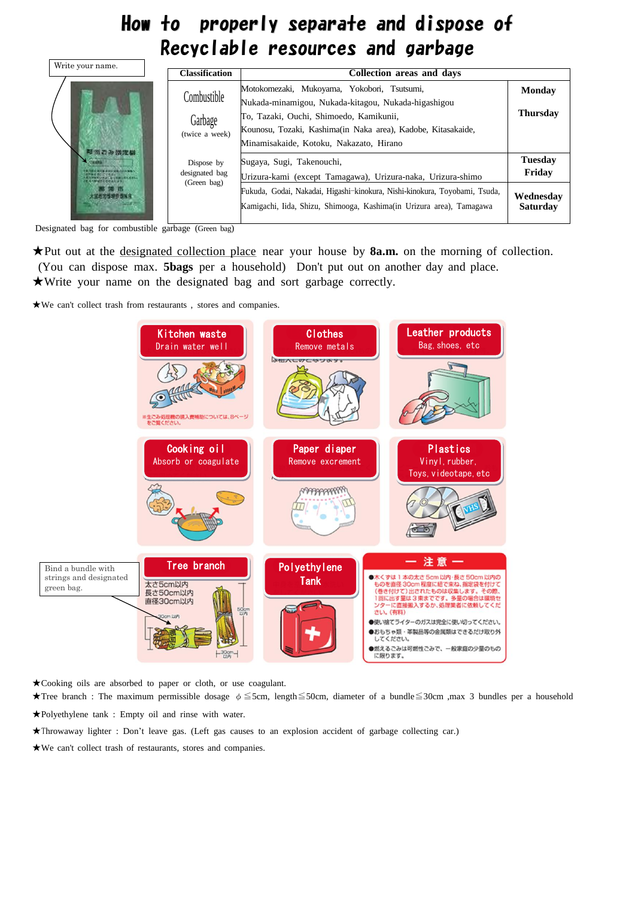## How to properly separate and dispose of Recyclable resources and garbage

Designated bag for combustible garbage (Green bag)

| Write your name. | <b>Classification</b>                       | <b>Collection areas and days</b>                                                                                                                                                                                                                         |                                                          |
|------------------|---------------------------------------------|----------------------------------------------------------------------------------------------------------------------------------------------------------------------------------------------------------------------------------------------------------|----------------------------------------------------------|
|                  | Combustible<br>Garbage<br>(twice a week)    | Motokomezaki, Mukoyama, Yokobori, Tsutsumi,<br>Nukada-minamigou, Nukada-kitagou, Nukada-higashigou<br>To, Tazaki, Ouchi, Shimoedo, Kamikunii,<br>Kounosu, Tozaki, Kashima(in Naka area), Kadobe, Kitasakaide,<br>Minamisakaide, Kotoku, Nakazato, Hirano | <b>Monday</b><br><b>Thursday</b>                         |
|                  | Dispose by<br>designated bag<br>(Green bag) | Sugaya, Sugi, Takenouchi,<br>Urizura-kami (except Tamagawa), Urizura-naka, Urizura-shimo<br>Fukuda, Godai, Nakadai, Higashi-kinokura, Nishi-kinokura, Toyobami, Tsuda,<br>Kamigachi, Iida, Shizu, Shimooga, Kashima(in Urizura area), Tamagawa           | <b>Tuesday</b><br>Friday<br>Wednesday<br><b>Saturday</b> |

★Put out at the designated collection place near your house by **8a.m.** on the morning of collection. (You can dispose max. **5bags** per a household) Don't put out on another day and place. ★Write your name on the designated bag and sort garbage correctly.

★We can't collect trash from restaurants , stores and companies.

★Cooking oils are absorbed to paper or cloth, or use coagulant.

★Tree branch : The maximum permissible dosage φ≦5cm, length≦50cm, diameter of a bundle≦30cm ,max 3 bundles per a household

★Polyethylene tank : Empty oil and rinse with water.

★Throwaway lighter : Don't leave gas. (Left gas causes to an explosion accident of garbage collecting car.)

★We can't collect trash of restaurants, stores and companies.

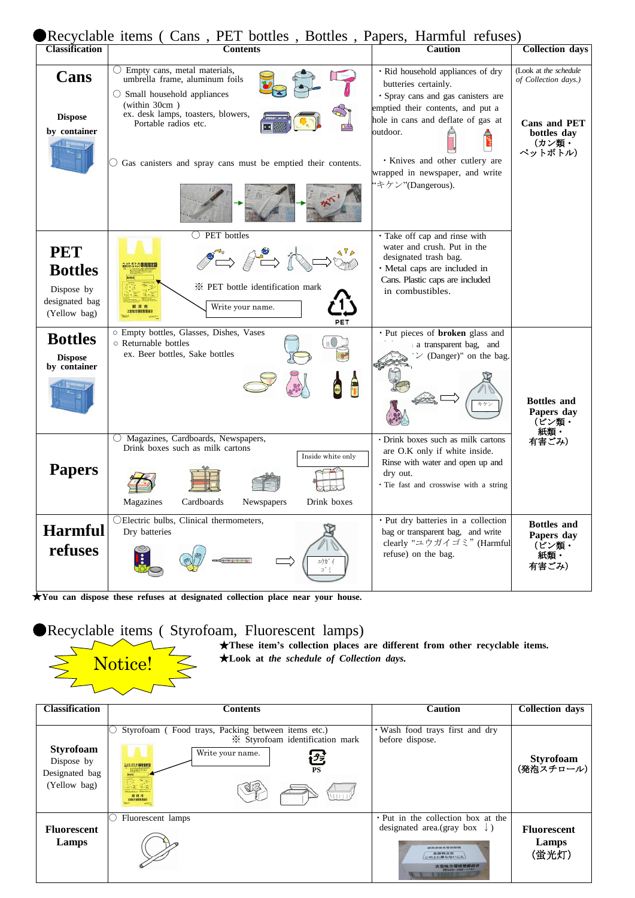|                                                                              | ● Recyclable items ( Cans, PET bottles, Bottles, Papers, Harmful refuses)                                                                                                                                                                                      |                                                                                                                                                                                                                                                                                         |                                                                                                  |
|------------------------------------------------------------------------------|----------------------------------------------------------------------------------------------------------------------------------------------------------------------------------------------------------------------------------------------------------------|-----------------------------------------------------------------------------------------------------------------------------------------------------------------------------------------------------------------------------------------------------------------------------------------|--------------------------------------------------------------------------------------------------|
| <b>Classification</b>                                                        | <b>Contents</b>                                                                                                                                                                                                                                                | <b>Caution</b>                                                                                                                                                                                                                                                                          | Collection days                                                                                  |
| Cans<br><b>Dispose</b><br>by container                                       | $\bigcirc$ Empty cans, metal materials,<br>umbrella frame, aluminum foils<br>$\circ$ Small household appliances<br>(within 30cm)<br>ex. desk lamps, toasters, blowers,<br>Portable radios etc.<br>Gas canisters and spray cans must be emptied their contents. | · Rid household appliances of dry<br>butteries certainly.<br>· Spray cans and gas canisters are<br>emptied their contents, and put a<br>hole in cans and deflate of gas at<br>outdoor.<br><b>· Knives and other cutlery are</b><br>wrapped in newspaper, and write<br>'キケン"(Dangerous). | (Look at the schedule<br>of Collection days.)<br>Cans and PET<br>bottles day<br>(カン類・<br>ペットボトル) |
| <b>PET</b><br><b>Bottles</b><br>Dispose by<br>designated bag<br>(Yellow bag) | PET bottles<br>$\mathbb{S}^n \rightarrow \mathbb{S}^n$<br>* PET bottle identification mark<br>Write your name.<br>PET                                                                                                                                          | · Take off cap and rinse with<br>water and crush. Put in the<br>designated trash bag.<br>· Metal caps are included in<br>Cans. Plastic caps are included<br>in combustibles.                                                                                                            |                                                                                                  |
| <b>Bottles</b><br><b>Dispose</b><br>by container                             | o Empty bottles, Glasses, Dishes, Vases<br>○ Returnable bottles<br>ex. Beer bottles, Sake bottles                                                                                                                                                              | • Put pieces of <b>broken</b> glass and<br>a transparent bag, and<br>$\mathcal{V}$ (Danger)" on the bag.<br>キケン                                                                                                                                                                         | <b>Bottles</b> and<br>Papers day<br>(ビン類・                                                        |
| <b>Papers</b>                                                                | Magazines, Cardboards, Newspapers,<br>Drink boxes such as milk cartons<br>Inside white only<br>Cardboards<br>Drink boxes<br>Magazines<br>Newspapers                                                                                                            | · Drink boxes such as milk cartons<br>are O.K only if white inside.<br>Rinse with water and open up and<br>dry out.<br>· Tie fast and crosswise with a string                                                                                                                           | 紙類・<br>有害ごみ)                                                                                     |
| <b>Harmful</b><br>refuses                                                    | OElectric bulbs, Clinical thermometers,<br>Dry batteries<br>ユウカ゛                                                                                                                                                                                               | · Put dry batteries in a collection<br>bag or transparent bag, and write<br>clearly "ユウガイゴミ" (Harmful<br>refuse) on the bag.                                                                                                                                                            | <b>Bottles</b> and<br>Papers day<br>(ビン類・<br>紙類・<br>有害ごみ)                                        |

★**You can dispose these refuses at designated collection place near your house.**

●Recyclable items ( Styrofoam, Fluorescent lamps)

 $\sum$ 

★**These item's collection places are different from other recyclable items.** ★**Look at** *the schedule of Collection days.*



Notice!

 $\sum$ 

| <b>Classification</b>                                            | <b>Contents</b>                                                                                                                                                  | <b>Caution</b>                                                                                                                                                      | <b>Collection days</b>               |
|------------------------------------------------------------------|------------------------------------------------------------------------------------------------------------------------------------------------------------------|---------------------------------------------------------------------------------------------------------------------------------------------------------------------|--------------------------------------|
| <b>Styrofoam</b><br>Dispose by<br>Designated bag<br>(Yellow bag) | Styrofoam (Food trays, Packing between items etc.)<br>U<br>* Styrofoam identification mark<br>Write your name.<br>色<br>ANASAD UNIKER<br><b>PS</b><br>1111<br>那珂市 | · Wash food trays first and dry<br>before dispose.                                                                                                                  | Styrofoam<br>(発泡スチロール)               |
| <b>Fluorescent</b><br>Lamps                                      | Fluorescent lamps                                                                                                                                                | • Put in the collection box at the<br>designated area.(gray box $\downarrow$ )<br>OR AN DA SE 2Y: SIE 100 432 335<br>この上に乗らないこと<br>大宮地方環境整備組<br>$T2029 - 296 - 174$ | <b>Fluorescent</b><br>Lamps<br>(蛍光灯) |